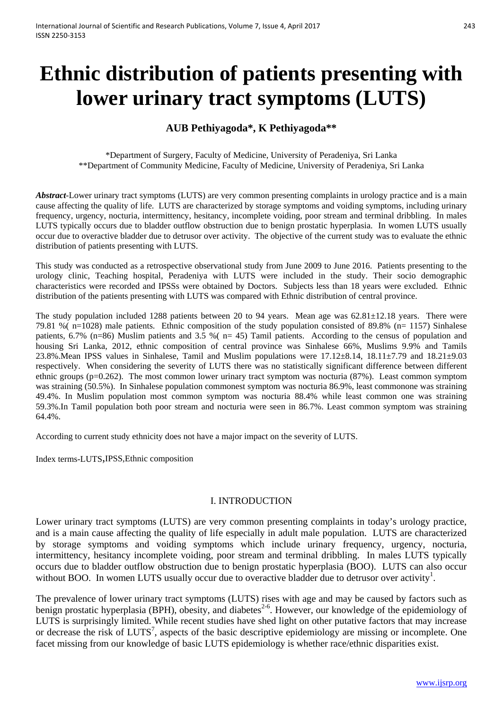# **Ethnic distribution of patients presenting with lower urinary tract symptoms (LUTS)**

## **AUB Pethiyagoda\*, K Pethiyagoda\*\***

\*Department of Surgery, Faculty of Medicine, University of Peradeniya, Sri Lanka \*\*Department of Community Medicine, Faculty of Medicine, University of Peradeniya, Sri Lanka

*Abstract*-Lower urinary tract symptoms (LUTS) are very common presenting complaints in urology practice and is a main cause affecting the quality of life. LUTS are characterized by storage symptoms and voiding symptoms, including urinary frequency, urgency, nocturia, intermittency, hesitancy, incomplete voiding, poor stream and terminal dribbling. In males LUTS typically occurs due to bladder outflow obstruction due to benign prostatic hyperplasia. In women LUTS usually occur due to overactive bladder due to detrusor over activity. The objective of the current study was to evaluate the ethnic distribution of patients presenting with LUTS.

This study was conducted as a retrospective observational study from June 2009 to June 2016. Patients presenting to the urology clinic, Teaching hospital, Peradeniya with LUTS were included in the study. Their socio demographic characteristics were recorded and IPSSs were obtained by Doctors. Subjects less than 18 years were excluded. Ethnic distribution of the patients presenting with LUTS was compared with Ethnic distribution of central province.

The study population included 1288 patients between 20 to 94 years. Mean age was 62.81±12.18 years. There were 79.81 %( n=1028) male patients. Ethnic composition of the study population consisted of 89.8% (n= 1157) Sinhalese patients, 6.7% (n=86) Muslim patients and 3.5 %( n= 45) Tamil patients. According to the census of population and housing Sri Lanka, 2012, ethnic composition of central province was Sinhalese 66%, Muslims 9.9% and Tamils 23.8%.Mean IPSS values in Sinhalese, Tamil and Muslim populations were 17.12±8.14, 18.11±7.79 and 18.21±9.03 respectively. When considering the severity of LUTS there was no statistically significant difference between different ethnic groups (p=0.262). The most common lower urinary tract symptom was nocturia (87%). Least common symptom was straining (50.5%). In Sinhalese population commonest symptom was nocturia 86.9%, least commonone was straining 49.4%. In Muslim population most common symptom was nocturia 88.4% while least common one was straining 59.3%.In Tamil population both poor stream and nocturia were seen in 86.7%. Least common symptom was straining 64.4%.

According to current study ethnicity does not have a major impact on the severity of LUTS.

Index terms-LUTS,IPSS,Ethnic composition

## I. INTRODUCTION

Lower urinary tract symptoms (LUTS) are very common presenting complaints in today's urology practice, and is a main cause affecting the quality of life especially in adult male population. LUTS are characterized by storage symptoms and voiding symptoms which include urinary frequency, urgency, nocturia, intermittency, hesitancy incomplete voiding, poor stream and terminal dribbling. In males LUTS typically occurs due to bladder outflow obstruction due to benign prostatic hyperplasia (BOO). LUTS can also occur without BOO. In women LUTS usually occur due to overactive bladder due to detrusor over activity<sup>1</sup>.

The prevalence of lower urinary tract symptoms (LUTS) rises with age and may be caused by factors such as benign prostatic hyperplasia (BPH), obesity, and diabetes<sup>2-6</sup>. However, our knowledge of the epidemiology of LUTS is surprisingly limited. While recent studies have shed light on other putative factors that may increase or decrease the risk of LUTS<sup>7</sup>, aspects of the basic descriptive epidemiology are missing or incomplete. One facet missing from our knowledge of basic LUTS epidemiology is whether race/ethnic disparities exist.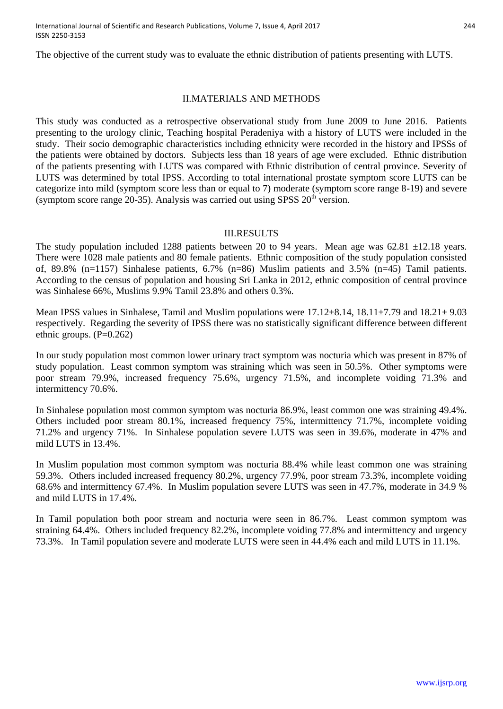The objective of the current study was to evaluate the ethnic distribution of patients presenting with LUTS.

## II.MATERIALS AND METHODS

This study was conducted as a retrospective observational study from June 2009 to June 2016. Patients presenting to the urology clinic, Teaching hospital Peradeniya with a history of LUTS were included in the study. Their socio demographic characteristics including ethnicity were recorded in the history and IPSSs of the patients were obtained by doctors. Subjects less than 18 years of age were excluded. Ethnic distribution of the patients presenting with LUTS was compared with Ethnic distribution of central province. Severity of LUTS was determined by total IPSS. According to total international prostate symptom score LUTS can be categorize into mild (symptom score less than or equal to 7) moderate (symptom score range 8-19) and severe (symptom score range  $20-35$ ). Analysis was carried out using SPSS  $20<sup>th</sup>$  version.

#### III.RESULTS

The study population included 1288 patients between 20 to 94 years. Mean age was 62.81  $\pm$ 12.18 years. There were 1028 male patients and 80 female patients. Ethnic composition of the study population consisted of, 89.8% (n=1157) Sinhalese patients, 6.7% (n=86) Muslim patients and 3.5% (n=45) Tamil patients. According to the census of population and housing Sri Lanka in 2012, ethnic composition of central province was Sinhalese 66%, Muslims 9.9% Tamil 23.8% and others 0.3%.

Mean IPSS values in Sinhalese, Tamil and Muslim populations were 17.12±8.14, 18.11±7.79 and 18.21± 9.03 respectively. Regarding the severity of IPSS there was no statistically significant difference between different ethnic groups.  $(P=0.262)$ 

In our study population most common lower urinary tract symptom was nocturia which was present in 87% of study population. Least common symptom was straining which was seen in 50.5%. Other symptoms were poor stream 79.9%, increased frequency 75.6%, urgency 71.5%, and incomplete voiding 71.3% and intermittency 70.6%.

In Sinhalese population most common symptom was nocturia 86.9%, least common one was straining 49.4%. Others included poor stream 80.1%, increased frequency 75%, intermittency 71.7%, incomplete voiding 71.2% and urgency 71%. In Sinhalese population severe LUTS was seen in 39.6%, moderate in 47% and mild LUTS in 13.4%.

In Muslim population most common symptom was nocturia 88.4% while least common one was straining 59.3%. Others included increased frequency 80.2%, urgency 77.9%, poor stream 73.3%, incomplete voiding 68.6% and intermittency 67.4%. In Muslim population severe LUTS was seen in 47.7%, moderate in 34.9 % and mild LUTS in 17.4%.

In Tamil population both poor stream and nocturia were seen in 86.7%. Least common symptom was straining 64.4%. Others included frequency 82.2%, incomplete voiding 77.8% and intermittency and urgency 73.3%. In Tamil population severe and moderate LUTS were seen in 44.4% each and mild LUTS in 11.1%.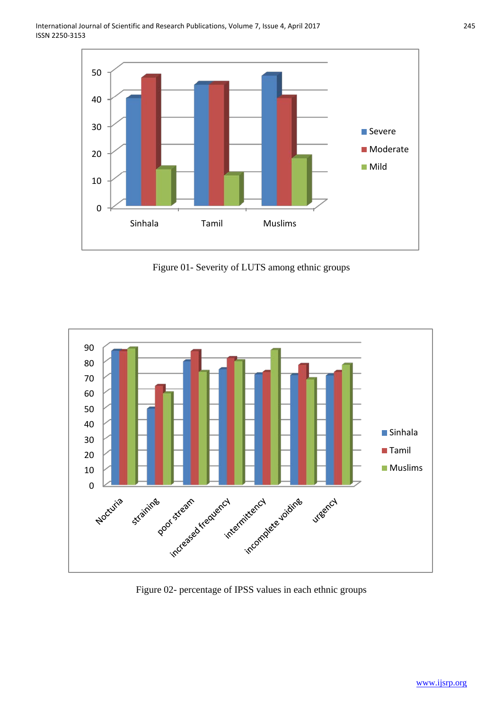

Figure 01- Severity of LUTS among ethnic groups



Figure 02- percentage of IPSS values in each ethnic groups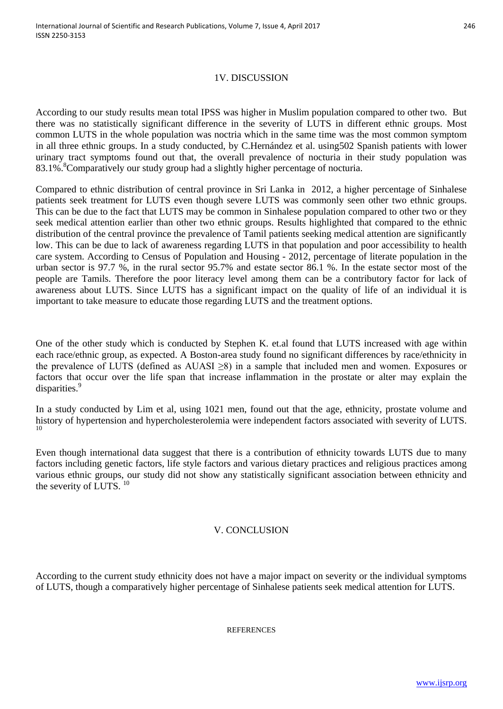## 1V. DISCUSSION

According to our study results mean total IPSS was higher in Muslim population compared to other two. But there was no statistically significant difference in the severity of LUTS in different ethnic groups. Most common LUTS in the whole population was noctria which in the same time was the most common symptom in all three ethnic groups. In a study conducted, by C.Hernández et al. using502 Spanish patients with lower urinary tract symptoms found out that, the overall prevalence of nocturia in their study population was 83.1%.<sup>8</sup> Comparatively our study group had a slightly higher percentage of nocturia.

Compared to ethnic distribution of central province in Sri Lanka in 2012, a higher percentage of Sinhalese patients seek treatment for LUTS even though severe LUTS was commonly seen other two ethnic groups. This can be due to the fact that LUTS may be common in Sinhalese population compared to other two or they seek medical attention earlier than other two ethnic groups. Results highlighted that compared to the ethnic distribution of the central province the prevalence of Tamil patients seeking medical attention are significantly low. This can be due to lack of awareness regarding LUTS in that population and poor accessibility to health care system. According to Census of Population and Housing - 2012, percentage of literate population in the urban sector is 97.7 %, in the rural sector 95.7% and estate sector 86.1 %. In the estate sector most of the people are Tamils. Therefore the poor literacy level among them can be a contributory factor for lack of awareness about LUTS. Since LUTS has a significant impact on the quality of life of an individual it is important to take measure to educate those regarding LUTS and the treatment options.

One of the other study which is conducted by Stephen K. et.al found that LUTS increased with age within each race/ethnic group, as expected. A Boston-area study found no significant differences by race/ethnicity in the prevalence of LUTS (defined as AUASI ≥8) in a sample that included men and women. Exposures or factors that occur over the life span that increase inflammation in the prostate or alter may explain the disparities.<sup>9</sup>

In a study conducted by Lim et al, using 1021 men, found out that the age, ethnicity, prostate volume and history of hypertension and hypercholesterolemia were independent factors associated with severity of LUTS.

Even though international data suggest that there is a contribution of ethnicity towards LUTS due to many factors including genetic factors, life style factors and various dietary practices and religious practices among various ethnic groups, our study did not show any statistically significant association between ethnicity and the severity of LUTS.  $10$ 

## V. CONCLUSION

According to the current study ethnicity does not have a major impact on severity or the individual symptoms of LUTS, though a comparatively higher percentage of Sinhalese patients seek medical attention for LUTS.

#### **REFERENCES**